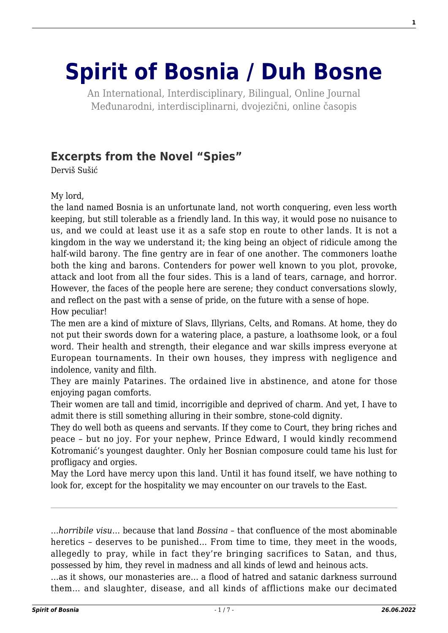# **[Spirit of Bosnia / Duh Bosne](http://www.spiritofbosnia.org/)**

An International, Interdisciplinary, Bilingual, Online Journal Međunarodni, interdisciplinarni, dvojezični, online časopis

# **[Excerpts from the Novel "Spies"](http://www.spiritofbosnia.org/volume-6-no-2-2011-april/excerpts-from-the-novel-spies/)**

Derviš Sušić

My lord,

the land named Bosnia is an unfortunate land, not worth conquering, even less worth keeping, but still tolerable as a friendly land. In this way, it would pose no nuisance to us, and we could at least use it as a safe stop en route to other lands. It is not a kingdom in the way we understand it; the king being an object of ridicule among the half-wild barony. The fine gentry are in fear of one another. The commoners loathe both the king and barons. Contenders for power well known to you plot, provoke, attack and loot from all the four sides. This is a land of tears, carnage, and horror. However, the faces of the people here are serene; they conduct conversations slowly, and reflect on the past with a sense of pride, on the future with a sense of hope. How peculiar!

The men are a kind of mixture of Slavs, Illyrians, Celts, and Romans. At home, they do not put their swords down for a watering place, a pasture, a loathsome look, or a foul word. Their health and strength, their elegance and war skills impress everyone at European tournaments. In their own houses, they impress with negligence and indolence, vanity and filth.

They are mainly Patarines. The ordained live in abstinence, and atone for those enjoying pagan comforts.

Their women are tall and timid, incorrigible and deprived of charm. And yet, I have to admit there is still something alluring in their sombre, stone-cold dignity.

They do well both as queens and servants. If they come to Court, they bring riches and peace – but no joy. For your nephew, Prince Edward, I would kindly recommend Kotromanić's youngest daughter. Only her Bosnian composure could tame his lust for profligacy and orgies.

May the Lord have mercy upon this land. Until it has found itself, we have nothing to look for, except for the hospitality we may encounter on our travels to the East.

…*horribile visu*… because that land *Bossina* – that confluence of the most abominable heretics – deserves to be punished… From time to time, they meet in the woods, allegedly to pray, while in fact they're bringing sacrifices to Satan, and thus, possessed by him, they revel in madness and all kinds of lewd and heinous acts.

…as it shows, our monasteries are… a flood of hatred and satanic darkness surround them… and slaughter, disease, and all kinds of afflictions make our decimated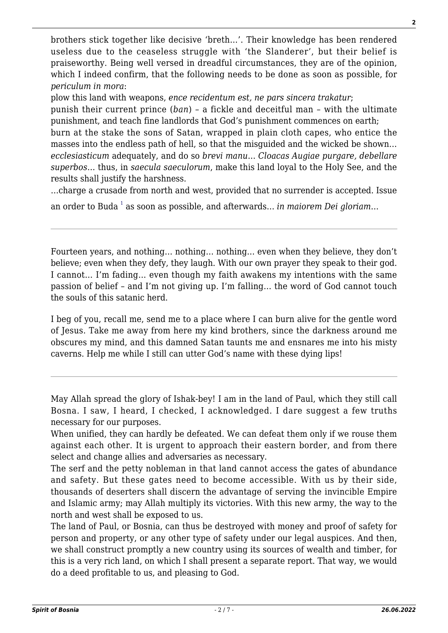brothers stick together like decisive 'breth…'. Their knowledge has been rendered useless due to the ceaseless struggle with 'the Slanderer', but their belief is praiseworthy. Being well versed in dreadful circumstances, they are of the opinion, which I indeed confirm, that the following needs to be done as soon as possible, for *periculum in mora*:

plow this land with weapons, *ence recidentum est, ne pars sincera trakatur*;

punish their current prince (*ban*) – a fickle and deceitful man – with the ultimate punishment, and teach fine landlords that God's punishment commences on earth;

burn at the stake the sons of Satan, wrapped in plain cloth capes, who entice the masses into the endless path of hell, so that the misguided and the wicked be shown… *ecclesiasticum* adequately, and do so *brevi manu*… *Cloacas Augiae purgare, debellare superbos*… thus, in *saecula saeculorum*, make this land loyal to the Holy See, and the results shall justify the harshness.

…charge a crusade from north and west, provided that no surrender is accepted. Issue

an order to Buda <sup>[1](#page--1-0)</sup> as soon as possible, and afterwards… *in maiorem Dei gloriam*…

Fourteen years, and nothing… nothing… nothing… even when they believe, they don't believe; even when they defy, they laugh. With our own prayer they speak to their god. I cannot… I'm fading… even though my faith awakens my intentions with the same passion of belief – and I'm not giving up. I'm falling… the word of God cannot touch the souls of this satanic herd.

I beg of you, recall me, send me to a place where I can burn alive for the gentle word of Jesus. Take me away from here my kind brothers, since the darkness around me obscures my mind, and this damned Satan taunts me and ensnares me into his misty caverns. Help me while I still can utter God's name with these dying lips!

May Allah spread the glory of Ishak-bey! I am in the land of Paul, which they still call Bosna. I saw, I heard, I checked, I acknowledged. I dare suggest a few truths necessary for our purposes.

When unified, they can hardly be defeated. We can defeat them only if we rouse them against each other. It is urgent to approach their eastern border, and from there select and change allies and adversaries as necessary.

The serf and the petty nobleman in that land cannot access the gates of abundance and safety. But these gates need to become accessible. With us by their side, thousands of deserters shall discern the advantage of serving the invincible Empire and Islamic army; may Allah multiply its victories. With this new army, the way to the north and west shall be exposed to us.

The land of Paul, or Bosnia, can thus be destroyed with money and proof of safety for person and property, or any other type of safety under our legal auspices. And then, we shall construct promptly a new country using its sources of wealth and timber, for this is a very rich land, on which I shall present a separate report. That way, we would do a deed profitable to us, and pleasing to God.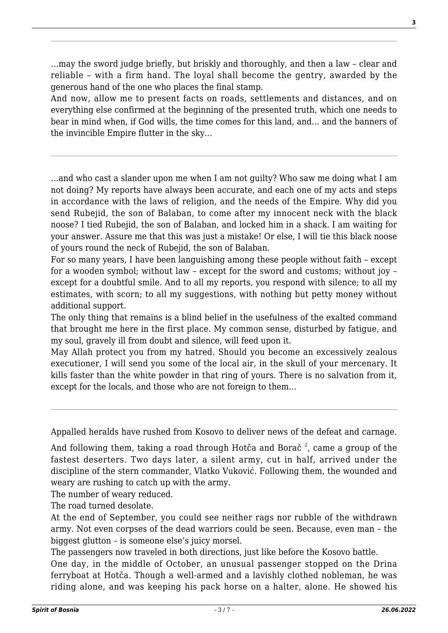…may the sword judge briefly, but briskly and thoroughly, and then a law – clear and reliable – with a firm hand. The loyal shall become the gentry, awarded by the generous hand of the one who places the final stamp.

And now, allow me to present facts on roads, settlements and distances, and on everything else confirmed at the beginning of the presented truth, which one needs to bear in mind when, if God wills, the time comes for this land, and… and the banners of the invincible Empire flutter in the sky…

…and who cast a slander upon me when I am not guilty? Who saw me doing what I am not doing? My reports have always been accurate, and each one of my acts and steps in accordance with the laws of religion, and the needs of the Empire. Why did you send Rubejid, the son of Balaban, to come after my innocent neck with the black noose? I tied Rubejid, the son of Balaban, and locked him in a shack. I am waiting for your answer. Assure me that this was just a mistake! Or else, I will tie this black noose of yours round the neck of Rubejid, the son of Balaban.

For so many years, I have been languishing among these people without faith – except for a wooden symbol; without law – except for the sword and customs; without joy – except for a doubtful smile. And to all my reports, you respond with silence; to all my estimates, with scorn; to all my suggestions, with nothing but petty money without additional support.

The only thing that remains is a blind belief in the usefulness of the exalted command that brought me here in the first place. My common sense, disturbed by fatigue, and my soul, gravely ill from doubt and silence, will feed upon it.

May Allah protect you from my hatred. Should you become an excessively zealous executioner, I will send you some of the local air, in the skull of your mercenary. It kills faster than the white powder in that ring of yours. There is no salvation from it, except for the locals, and those who are not foreign to them…

Appalled heralds have rushed from Kosovo to deliver news of the defeat and carnage.

And following them, taking a road through Hotča and Borač  $^{\text{2}}$  $^{\text{2}}$  $^{\text{2}}$ , came a group of the fastest deserters. Two days later, a silent army, cut in half, arrived under the discipline of the stern commander, Vlatko Vuković. Following them, the wounded and weary are rushing to catch up with the army.

The number of weary reduced.

The road turned desolate.

At the end of September, you could see neither rags nor rubble of the withdrawn army. Not even corpses of the dead warriors could be seen. Because, even man – the biggest glutton – is someone else's juicy morsel.

The passengers now traveled in both directions, just like before the Kosovo battle. One day, in the middle of October, an unusual passenger stopped on the Drina ferryboat at Hotča. Though a well-armed and a lavishly clothed nobleman, he was riding alone, and was keeping his pack horse on a halter, alone. He showed his

**3**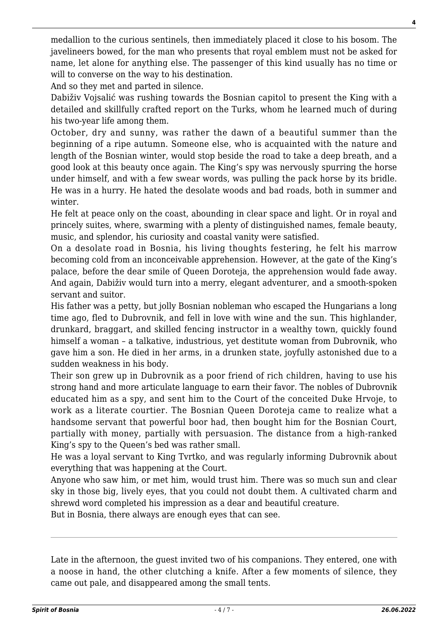medallion to the curious sentinels, then immediately placed it close to his bosom. The javelineers bowed, for the man who presents that royal emblem must not be asked for name, let alone for anything else. The passenger of this kind usually has no time or will to converse on the way to his destination.

And so they met and parted in silence.

Dabiživ Vojsalić was rushing towards the Bosnian capitol to present the King with a detailed and skillfully crafted report on the Turks, whom he learned much of during his two-year life among them.

October, dry and sunny, was rather the dawn of a beautiful summer than the beginning of a ripe autumn. Someone else, who is acquainted with the nature and length of the Bosnian winter, would stop beside the road to take a deep breath, and a good look at this beauty once again. The King's spy was nervously spurring the horse under himself, and with a few swear words, was pulling the pack horse by its bridle. He was in a hurry. He hated the desolate woods and bad roads, both in summer and winter.

He felt at peace only on the coast, abounding in clear space and light. Or in royal and princely suites, where, swarming with a plenty of distinguished names, female beauty, music, and splendor, his curiosity and coastal vanity were satisfied.

On a desolate road in Bosnia, his living thoughts festering, he felt his marrow becoming cold from an inconceivable apprehension. However, at the gate of the King's palace, before the dear smile of Queen Doroteja, the apprehension would fade away. And again, Dabiživ would turn into a merry, elegant adventurer, and a smooth-spoken servant and suitor.

His father was a petty, but jolly Bosnian nobleman who escaped the Hungarians a long time ago, fled to Dubrovnik, and fell in love with wine and the sun. This highlander, drunkard, braggart, and skilled fencing instructor in a wealthy town, quickly found himself a woman – a talkative, industrious, yet destitute woman from Dubrovnik, who gave him a son. He died in her arms, in a drunken state, joyfully astonished due to a sudden weakness in his body.

Their son grew up in Dubrovnik as a poor friend of rich children, having to use his strong hand and more articulate language to earn their favor. The nobles of Dubrovnik educated him as a spy, and sent him to the Court of the conceited Duke Hrvoje, to work as a literate courtier. The Bosnian Queen Doroteja came to realize what a handsome servant that powerful boor had, then bought him for the Bosnian Court, partially with money, partially with persuasion. The distance from a high-ranked King's spy to the Queen's bed was rather small.

He was a loyal servant to King Tvrtko, and was regularly informing Dubrovnik about everything that was happening at the Court.

Anyone who saw him, or met him, would trust him. There was so much sun and clear sky in those big, lively eyes, that you could not doubt them. A cultivated charm and shrewd word completed his impression as a dear and beautiful creature.

But in Bosnia, there always are enough eyes that can see.

Late in the afternoon, the guest invited two of his companions. They entered, one with a noose in hand, the other clutching a knife. After a few moments of silence, they came out pale, and disappeared among the small tents.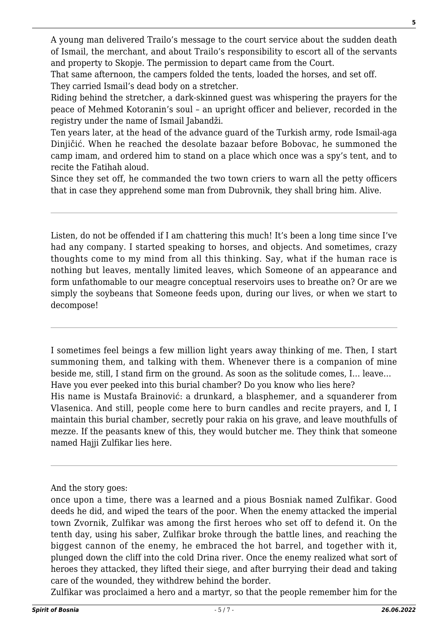A young man delivered Trailo's message to the court service about the sudden death of Ismail, the merchant, and about Trailo's responsibility to escort all of the servants and property to Skopje. The permission to depart came from the Court.

That same afternoon, the campers folded the tents, loaded the horses, and set off. They carried Ismail's dead body on a stretcher.

Riding behind the stretcher, a dark-skinned guest was whispering the prayers for the peace of Mehmed Kotoranin's soul – an upright officer and believer, recorded in the registry under the name of Ismail Jabandži.

Ten years later, at the head of the advance guard of the Turkish army, rode Ismail-aga Dinjičić. When he reached the desolate bazaar before Bobovac, he summoned the camp imam, and ordered him to stand on a place which once was a spy's tent, and to recite the Fatihah aloud.

Since they set off, he commanded the two town criers to warn all the petty officers that in case they apprehend some man from Dubrovnik, they shall bring him. Alive.

Listen, do not be offended if I am chattering this much! It's been a long time since I've had any company. I started speaking to horses, and objects. And sometimes, crazy thoughts come to my mind from all this thinking. Say, what if the human race is nothing but leaves, mentally limited leaves, which Someone of an appearance and form unfathomable to our meagre conceptual reservoirs uses to breathe on? Or are we simply the soybeans that Someone feeds upon, during our lives, or when we start to decompose!

I sometimes feel beings a few million light years away thinking of me. Then, I start summoning them, and talking with them. Whenever there is a companion of mine beside me, still, I stand firm on the ground. As soon as the solitude comes, I… leave… Have you ever peeked into this burial chamber? Do you know who lies here? His name is Mustafa Brainović: a drunkard, a blasphemer, and a squanderer from Vlasenica. And still, people come here to burn candles and recite prayers, and I, I maintain this burial chamber, secretly pour rakia on his grave, and leave mouthfulls of mezze. If the peasants knew of this, they would butcher me. They think that someone named Hajji Zulfikar lies here.

And the story goes:

Zulfikar was proclaimed a hero and a martyr, so that the people remember him for the

once upon a time, there was a learned and a pious Bosniak named Zulfikar. Good deeds he did, and wiped the tears of the poor. When the enemy attacked the imperial town Zvornik, Zulfikar was among the first heroes who set off to defend it. On the tenth day, using his saber, Zulfikar broke through the battle lines, and reaching the biggest cannon of the enemy, he embraced the hot barrel, and together with it, plunged down the cliff into the cold Drina river. Once the enemy realized what sort of heroes they attacked, they lifted their siege, and after burrying their dead and taking care of the wounded, they withdrew behind the border.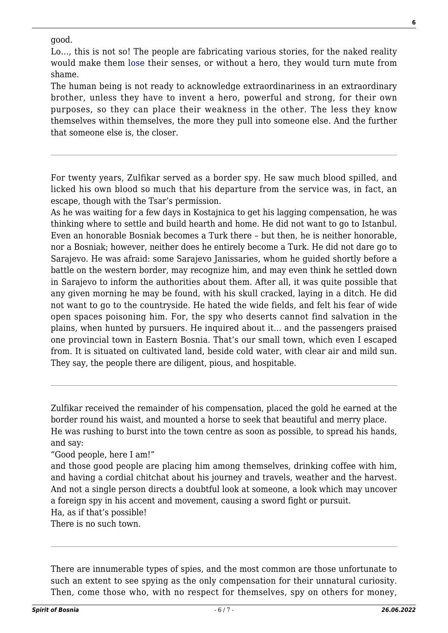#### good.

Lo…, this is not so! The people are fabricating various stories, for the naked reality would make them [lose](http://www.willbeta.com/lose-weight-exercise/) their senses, or without a hero, they would turn mute from shame.

The human being is not ready to acknowledge extraordinariness in an extraordinary brother, unless they have to invent a hero, powerful and strong, for their own purposes, so they can place their weakness in the other. The less they know themselves within themselves, the more they pull into someone else. And the further that someone else is, the closer.

For twenty years, Zulfikar served as a border spy. He saw much blood spilled, and licked his own blood so much that his departure from the service was, in fact, an escape, though with the Tsar's permission.

As he was waiting for a few days in Kostajnica to get his lagging compensation, he was thinking where to settle and build hearth and home. He did not want to go to Istanbul. Even an honorable Bosniak becomes a Turk there – but then, he is neither honorable, nor a Bosniak; however, neither does he entirely become a Turk. He did not dare go to Sarajevo. He was afraid: some Sarajevo Janissaries, whom he guided shortly before a battle on the western border, may recognize him, and may even think he settled down in Sarajevo to inform the authorities about them. After all, it was quite possible that any given morning he may be found, with his skull cracked, laying in a ditch. He did not want to go to the countryside. He hated the wide fields, and felt his fear of wide open spaces poisoning him. For, the spy who deserts cannot find salvation in the plains, when hunted by pursuers. He inquired about it… and the passengers praised one provincial town in Eastern Bosnia. That's our small town, which even I escaped from. It is situated on cultivated land, beside cold water, with clear air and mild sun. They say, the people there are diligent, pious, and hospitable.

Zulfikar received the remainder of his compensation, placed the gold he earned at the border round his waist, and mounted a horse to seek that beautiful and merry place. He was rushing to burst into the town centre as soon as possible, to spread his hands, and say:

"Good people, here I am!"

and those good people are placing him among themselves, drinking coffee with him, and having a cordial chitchat about his journey and travels, weather and the harvest. And not a single person directs a doubtful look at someone, a look which may uncover a foreign spy in his accent and movement, causing a sword fight or pursuit. Ha, as if that's possible!

There is no such town.

There are innumerable types of spies, and the most common are those unfortunate to such an extent to see spying as the only compensation for their unnatural curiosity. Then, come those who, with no respect for themselves, spy on others for money,